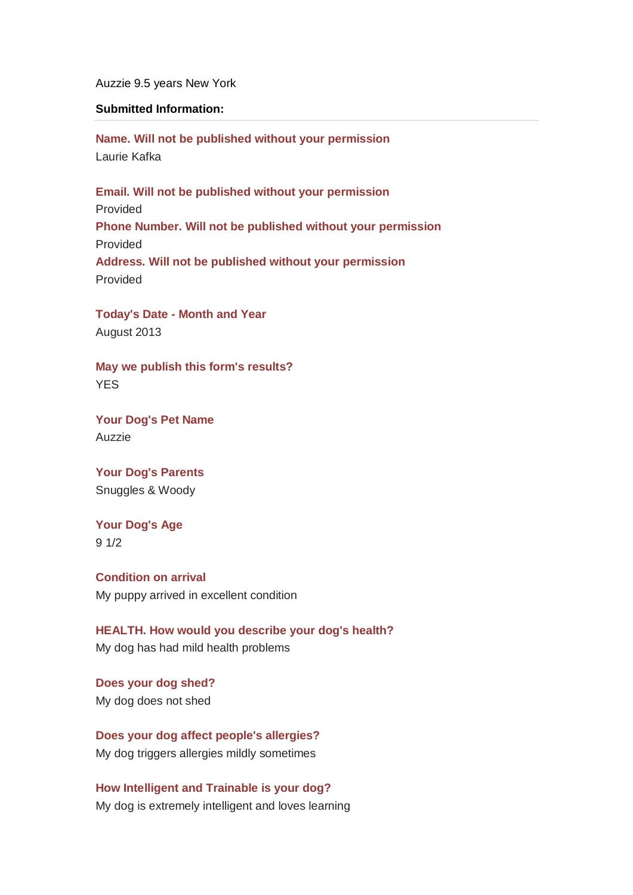Auzzie 9.5 years New York

## **Submitted Information:**

**Name. Will not be published without your permission** Laurie Kafka

**Email. Will not be published without your permission** Provided **Phone Number. Will not be published without your permission** Provided **Address. Will not be published without your permission** Provided

**Today's Date - Month and Year** August 2013

**May we publish this form's results? YES** 

**Your Dog's Pet Name**  Auzzie

**Your Dog's Parents**  Snuggles & Woody

**Your Dog's Age** 9 1/2

**Condition on arrival** My puppy arrived in excellent condition

**HEALTH. How would you describe your dog's health?** My dog has had mild health problems

**Does your dog shed?** My dog does not shed

**Does your dog affect people's allergies?**  My dog triggers allergies mildly sometimes

**How Intelligent and Trainable is your dog?** My dog is extremely intelligent and loves learning